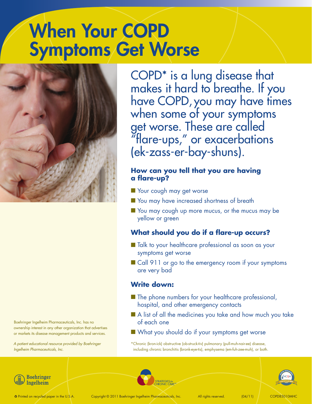# When Your COPD **Symptoms Get Worse**



Boehringer Ingelheim Pharmaceuticals, Inc. has no ownership interest in any other organization that advertises or markets its disease management products and services.

*A patient educational resource provided by Boehringer Ingelheim Pharmaceuticals, Inc.*

COPD\* is a lung disease that makes it hard to breathe. If you have COPD, you may have times when some of your symptoms get worse. These are called "flare-ups," or exacerbations (ek-zass-er-bay-shuns).

### **How can you tell that you are having a flare-up?**

- Your cough may get worse
- **Nou may have increased shortness of breath**
- $\blacksquare$  You may cough up more mucus, or the mucus may be yellow or green

### **What should you do if a flare-up occurs?**

- Talk to your healthcare professional as soon as your symptoms get worse
- $\blacksquare$  Call 911 or go to the emergency room if your symptoms are very bad

### **Write down:**

- $\blacksquare$  The phone numbers for your healthcare professional, hospital, and other emergency contacts
- $\blacksquare$  A list of all the medicines you take and how much you take of each one
- $\blacksquare$  What you should do if your symptoms get worse

\*Chronic (kron-ick) obstructive (ob-struck-tiv) pulmonary (pull-muh-nair-ee) disease, including chronic bronchitis (bronk-eye-tis), emphysema (em-fuh-zee-muh), or both.





**Boehringer** Ingelheim